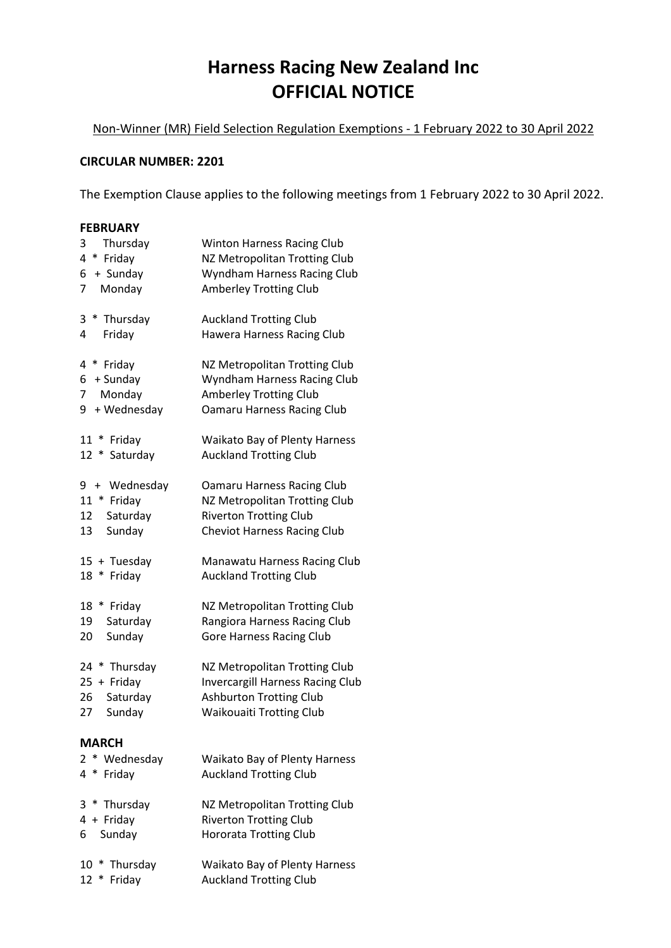## **Harness Racing New Zealand Inc OFFICIAL NOTICE**

Non-Winner (MR) Field Selection Regulation Exemptions - 1 February 2022 to 30 April 2022

## **CIRCULAR NUMBER: 2201**

The Exemption Clause applies to the following meetings from 1 February 2022 to 30 April 2022.

## **FEBRUARY**

| Thursday<br>3<br>* Friday<br>4<br>+ Sunday<br>6<br>7<br>Monday            | Winton Harness Racing Club<br>NZ Metropolitan Trotting Club<br>Wyndham Harness Racing Club<br><b>Amberley Trotting Club</b>                   |
|---------------------------------------------------------------------------|-----------------------------------------------------------------------------------------------------------------------------------------------|
| $\ast$<br>Thursday<br>3<br>Friday<br>4                                    | <b>Auckland Trotting Club</b><br>Hawera Harness Racing Club                                                                                   |
| 4<br>* Friday<br>+ Sunday<br>6<br>Monday<br>7<br>+ Wednesday<br>9         | NZ Metropolitan Trotting Club<br>Wyndham Harness Racing Club<br><b>Amberley Trotting Club</b><br><b>Oamaru Harness Racing Club</b>            |
| $11 *$<br>Friday<br>Saturday<br>$12 *$                                    | <b>Waikato Bay of Plenty Harness</b><br><b>Auckland Trotting Club</b>                                                                         |
| 9 + Wednesday<br>11 * Friday<br>12<br>Saturday<br>Sunday<br>13            | <b>Oamaru Harness Racing Club</b><br>NZ Metropolitan Trotting Club<br><b>Riverton Trotting Club</b><br><b>Cheviot Harness Racing Club</b>     |
| 15 + Tuesday<br>18<br>$\ast$<br>Friday                                    | Manawatu Harness Racing Club<br><b>Auckland Trotting Club</b>                                                                                 |
| 18 * Friday<br>Saturday<br>19<br>Sunday<br>20                             | NZ Metropolitan Trotting Club<br>Rangiora Harness Racing Club<br><b>Gore Harness Racing Club</b>                                              |
| 24<br>* Thursday<br>$25 +$ Friday<br>Saturday<br>26<br>Sunday<br>27       | NZ Metropolitan Trotting Club<br><b>Invercargill Harness Racing Club</b><br><b>Ashburton Trotting Club</b><br><b>Waikouaiti Trotting Club</b> |
| MARCH<br>$^{\ast}$<br>Wednesday<br>$\mathbf{2}^{\prime}$<br>4<br>* Friday | <b>Waikato Bay of Plenty Harness</b><br><b>Auckland Trotting Club</b>                                                                         |
| 3 * Thursday<br>4 + Friday<br>6 Sunday                                    | NZ Metropolitan Trotting Club<br><b>Riverton Trotting Club</b><br><b>Hororata Trotting Club</b>                                               |
| $10 *$<br>Thursday<br>12<br>∗<br>Friday                                   | <b>Waikato Bay of Plenty Harness</b><br><b>Auckland Trotting Club</b>                                                                         |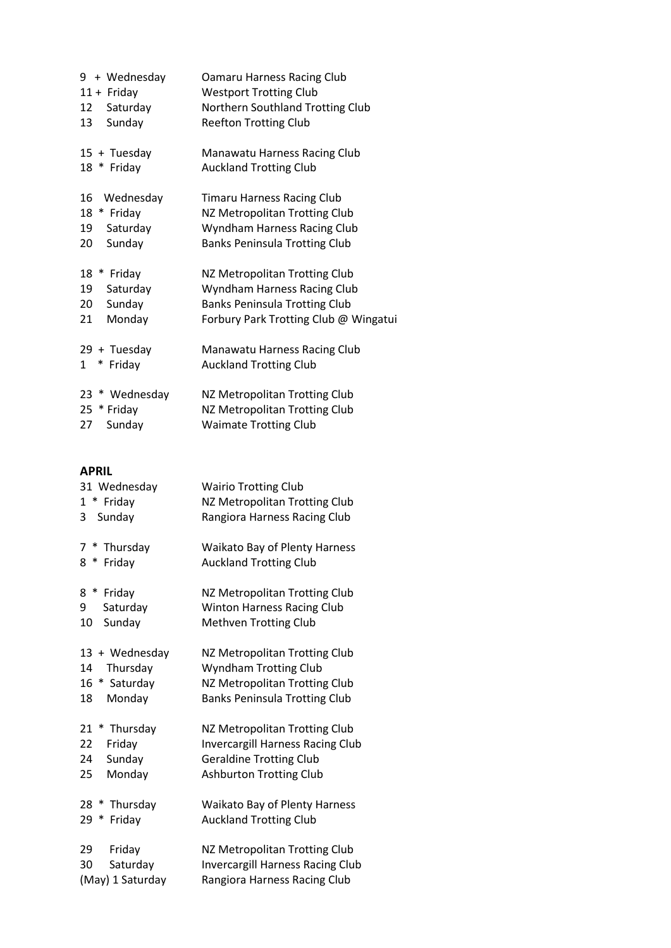| 12<br>13             | 9 + Wednesday<br>$11 +$ Friday<br>Saturday<br>Sunday | Oamaru Harness Racing Club<br><b>Westport Trotting Club</b><br>Northern Southland Trotting Club<br><b>Reefton Trotting Club</b>               |
|----------------------|------------------------------------------------------|-----------------------------------------------------------------------------------------------------------------------------------------------|
|                      | 15 + Tuesday<br>18 * Friday                          | Manawatu Harness Racing Club<br><b>Auckland Trotting Club</b>                                                                                 |
| 16<br>18<br>19<br>20 | Wednesday<br>* Friday<br>Saturday<br>Sunday          | <b>Timaru Harness Racing Club</b><br>NZ Metropolitan Trotting Club<br>Wyndham Harness Racing Club<br><b>Banks Peninsula Trotting Club</b>     |
| 18<br>19<br>20<br>21 | $\ast$<br>Friday<br>Saturday<br>Sunday<br>Monday     | NZ Metropolitan Trotting Club<br>Wyndham Harness Racing Club<br><b>Banks Peninsula Trotting Club</b><br>Forbury Park Trotting Club @ Wingatui |
| $\mathbf{1}$         | 29 + Tuesday<br>* Friday                             | Manawatu Harness Racing Club<br><b>Auckland Trotting Club</b>                                                                                 |
| 23<br>25<br>27       | * Wednesday<br>* Friday<br>Sunday                    | NZ Metropolitan Trotting Club<br>NZ Metropolitan Trotting Club<br><b>Waimate Trotting Club</b>                                                |

## **APRIL**

| 31 Wednesday<br>* Friday<br>1<br>Sunday<br>3                            | <b>Wairio Trotting Club</b><br>NZ Metropolitan Trotting Club<br>Rangiora Harness Racing Club                                                 |
|-------------------------------------------------------------------------|----------------------------------------------------------------------------------------------------------------------------------------------|
| 7<br>Thursday<br>$\ast$<br>8<br>∗<br>Friday                             | <b>Waikato Bay of Plenty Harness</b><br><b>Auckland Trotting Club</b>                                                                        |
| $\ast$<br>8<br>Friday<br>9<br>Saturday<br>Sunday<br>10                  | NZ Metropolitan Trotting Club<br><b>Winton Harness Racing Club</b><br><b>Methven Trotting Club</b>                                           |
| + Wednesday<br>13<br>Thursday<br>14<br>16<br>* Saturday<br>Monday<br>18 | NZ Metropolitan Trotting Club<br>Wyndham Trotting Club<br>NZ Metropolitan Trotting Club<br><b>Banks Peninsula Trotting Club</b>              |
| 21<br>Thursday<br>∗<br>22<br>Friday<br>Sunday<br>24<br>Monday<br>25     | NZ Metropolitan Trotting Club<br><b>Invercargill Harness Racing Club</b><br><b>Geraldine Trotting Club</b><br><b>Ashburton Trotting Club</b> |
| 28<br>Thursday<br>∗<br>∗<br>Friday<br>29                                | <b>Waikato Bay of Plenty Harness</b><br><b>Auckland Trotting Club</b>                                                                        |
| Friday<br>29<br>Saturday<br>30<br>(May) 1 Saturday                      | NZ Metropolitan Trotting Club<br><b>Invercargill Harness Racing Club</b><br>Rangiora Harness Racing Club                                     |